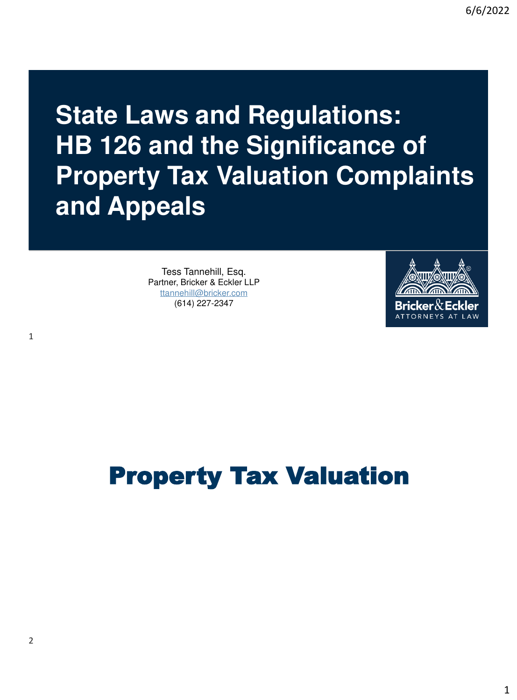**State Laws and Regulations: HB 126 and the Significance of Property Tax Valuation Complaints and Appeals**

> Tess Tannehill, Esq. Partner, Bricker & Eckler LLP [ttannehill@bricker.com](mailto:ttannehill@bricker.com) (614) 227-2347



# Property Tax Valuation

1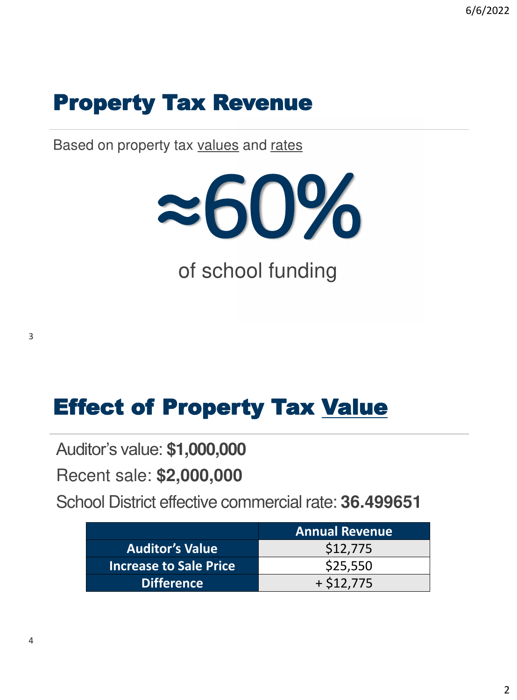### Property Tax Revenue

Based on property tax values and rates



Effect of Property Tax Value

Auditor's value: **\$1,000,000**

Recent sale: **\$2,000,000**

School District effective commercial rate: **36.499651**

|                               | <b>Annual Revenue</b> |  |  |
|-------------------------------|-----------------------|--|--|
| <b>Auditor's Value</b>        | \$12,775              |  |  |
| <b>Increase to Sale Price</b> | \$25,550              |  |  |
| <b>Difference</b>             | $+ $12.775$           |  |  |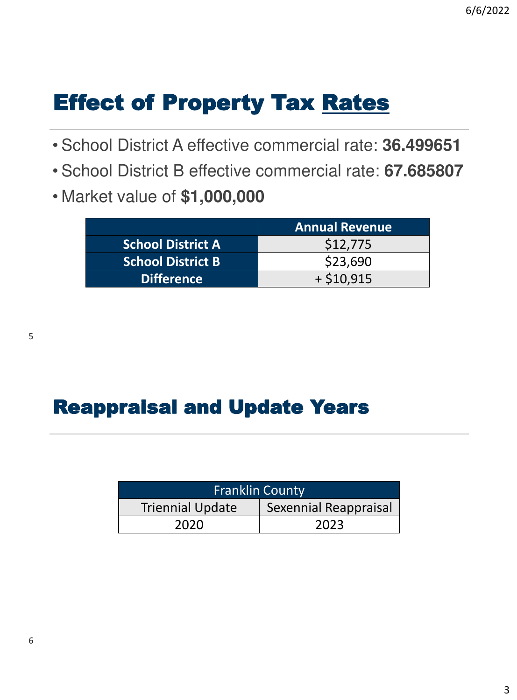# Effect of Property Tax Rates

- School District A effective commercial rate: **36.499651**
- School District B effective commercial rate: **67.685807**
- Market value of **\$1,000,000**

|                          | <b>Annual Revenue</b> |  |  |
|--------------------------|-----------------------|--|--|
| <b>School District A</b> | \$12,775              |  |  |
| <b>School District B</b> | \$23,690              |  |  |
| <b>Difference</b>        | $+ $10,915$           |  |  |

#### Reappraisal and Update Years

| <b>Franklin County</b>  |                       |  |  |  |  |
|-------------------------|-----------------------|--|--|--|--|
| <b>Triennial Update</b> | Sexennial Reappraisal |  |  |  |  |
| 2020                    | 2023                  |  |  |  |  |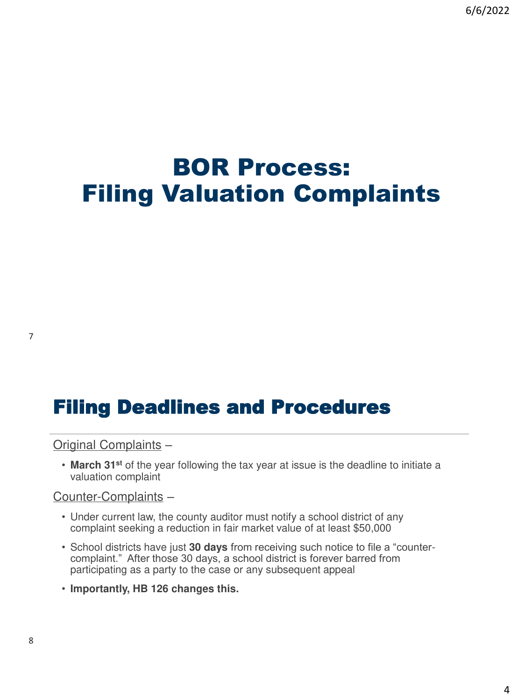### BOR Process: Filing Valuation Complaints

#### Filing Deadlines and Procedures

Original Complaints –

• **March 31st** of the year following the tax year at issue is the deadline to initiate a valuation complaint

Counter-Complaints –

- Under current law, the county auditor must notify a school district of any complaint seeking a reduction in fair market value of at least \$50,000
- School districts have just **30 days** from receiving such notice to file a "countercomplaint." After those 30 days, a school district is forever barred from participating as a party to the case or any subsequent appeal
- **Importantly, HB 126 changes this.**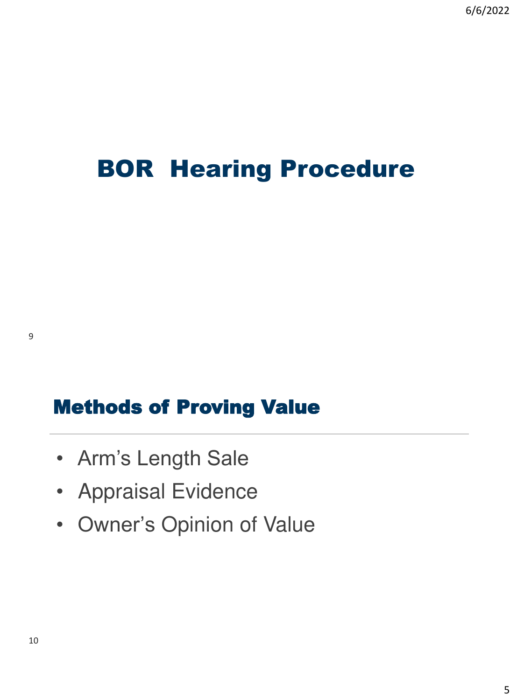# BOR Hearing Procedure

#### Methods of Proving Value

- Arm's Length Sale
- Appraisal Evidence
- Owner's Opinion of Value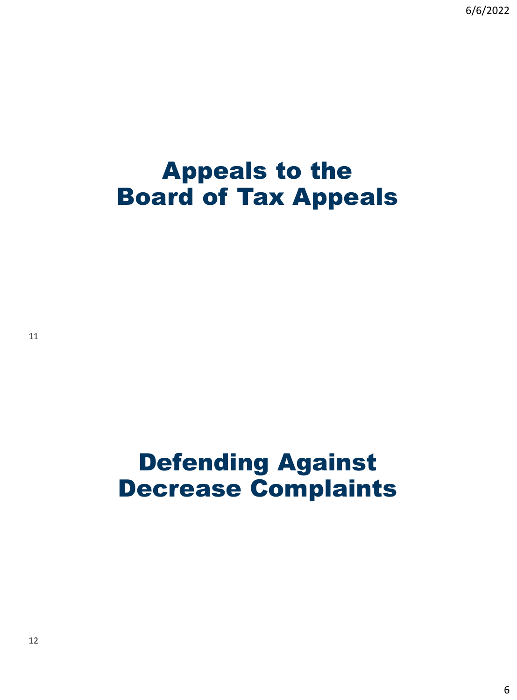6/6/2022

### Appeals to the Board of Tax Appeals

# Defending Against Decrease Complaints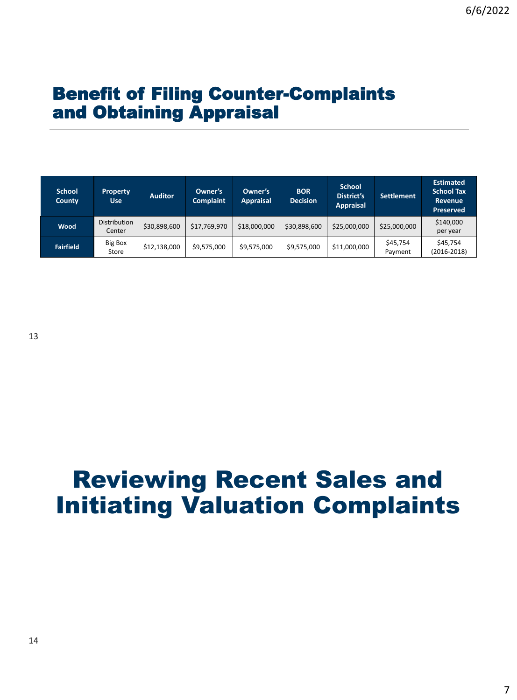#### Benefit of Filing Counter-Complaints and Obtaining Appraisal

| <b>School</b><br>County | <b>Property</b><br><b>Use</b> | <b>Auditor</b> | Owner's<br><b>Complaint</b> | Owner's<br><b>Appraisal</b> | <b>BOR</b><br><b>Decision</b> | <b>School</b><br><b>District's</b><br><b>Appraisal</b> | <b>Settlement</b>   | <b>Estimated</b><br><b>School Tax</b><br>Revenue<br><b>Preserved</b> |
|-------------------------|-------------------------------|----------------|-----------------------------|-----------------------------|-------------------------------|--------------------------------------------------------|---------------------|----------------------------------------------------------------------|
| Wood                    | <b>Distribution</b><br>Center | \$30,898,600   | \$17,769,970                | \$18,000,000                | \$30,898,600                  | \$25,000,000                                           | \$25,000,000        | \$140,000<br>per year                                                |
| <b>Fairfield</b>        | Big Box<br>Store              | \$12,138,000   | \$9,575,000                 | \$9,575,000                 | \$9,575,000                   | \$11,000,000                                           | \$45,754<br>Payment | \$45,754<br>$(2016 - 2018)$                                          |

### Reviewing Recent Sales and Initiating Valuation Complaints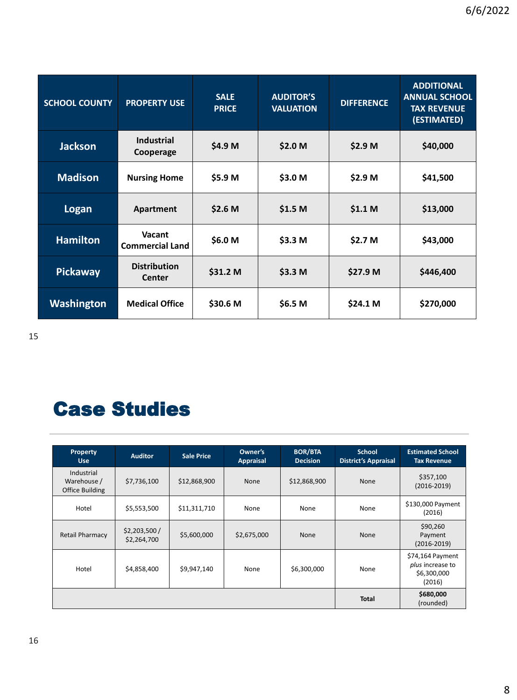| <b>SCHOOL COUNTY</b> | <b>PROPERTY USE</b>              | <b>SALE</b><br><b>PRICE</b> | <b>AUDITOR'S</b><br><b>VALUATION</b> | <b>DIFFERENCE</b>  | <b>ADDITIONAL</b><br><b>ANNUAL SCHOOL</b><br><b>TAX REVENUE</b><br>(ESTIMATED) |
|----------------------|----------------------------------|-----------------------------|--------------------------------------|--------------------|--------------------------------------------------------------------------------|
| <b>Jackson</b>       | Industrial<br>Cooperage          | \$4.9 M                     | \$2.0 M                              | \$2.9 <sub>M</sub> | \$40,000                                                                       |
| <b>Madison</b>       | <b>Nursing Home</b>              | \$5.9 M                     | \$3.0 M                              | \$2.9 M            | \$41,500                                                                       |
| Logan                | Apartment                        | \$2.6 <sub>M</sub>          | \$1.5 <sub>M</sub>                   | \$1.1 <sub>M</sub> | \$13,000                                                                       |
| <b>Hamilton</b>      | Vacant<br><b>Commercial Land</b> | \$6.0 M                     | \$3.3 M                              | \$2.7 M            | \$43,000                                                                       |
| <b>Pickaway</b>      | <b>Distribution</b><br>Center    | \$31.2 M                    | \$3.3 M                              | \$27.9 M           | \$446,400                                                                      |
| Washington           | <b>Medical Office</b>            | \$30.6 M                    | \$6.5 M                              | \$24.1 M           | \$270,000                                                                      |

15

### Case Studies

| Property<br><b>Use</b>                       | <b>Auditor</b>              | <b>Sale Price</b> | Owner's<br><b>Appraisal</b> | <b>BOR/BTA</b><br><b>Decision</b> | <b>School</b><br><b>District's Appraisal</b> | <b>Estimated School</b><br><b>Tax Revenue</b>                 |
|----------------------------------------------|-----------------------------|-------------------|-----------------------------|-----------------------------------|----------------------------------------------|---------------------------------------------------------------|
| Industrial<br>Warehouse /<br>Office Building | \$7,736,100                 | \$12,868,900      | <b>None</b>                 | \$12,868,900                      | <b>None</b>                                  | \$357,100<br>$(2016 - 2019)$                                  |
| Hotel                                        | \$5,553,500                 | \$11,311,710      | None                        | None                              | None                                         | \$130,000 Payment<br>(2016)                                   |
| <b>Retail Pharmacy</b>                       | \$2,203,500/<br>\$2,264,700 | \$5,600,000       | \$2,675,000                 | <b>None</b>                       | <b>None</b>                                  | \$90,260<br>Payment<br>$(2016 - 2019)$                        |
| Hotel                                        | \$4,858,400                 | \$9,947,140       | None                        | \$6,300,000                       | None                                         | \$74,164 Payment<br>plus increase to<br>\$6,300,000<br>(2016) |
|                                              |                             |                   |                             |                                   | <b>Total</b>                                 | \$680,000<br>(rounded)                                        |